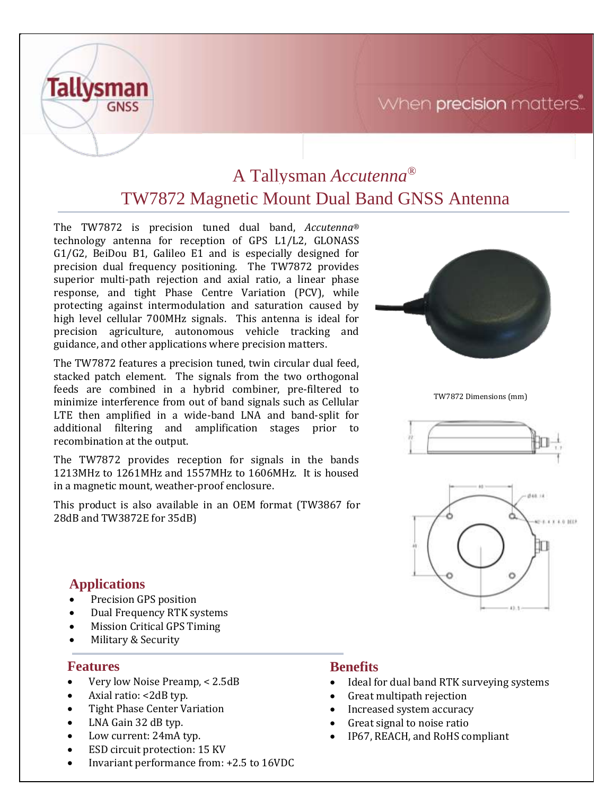## When precision matters.



# A Tallysman *Accutenna®* TW7872 Magnetic Mount Dual Band GNSS Antenna

The TW7872 is precision tuned dual band, *Accutenna®* technology antenna for reception of GPS L1/L2, GLONASS G1/G2, BeiDou B1, Galileo E1 and is especially designed for precision dual frequency positioning. The TW7872 provides superior multi-path rejection and axial ratio, a linear phase response, and tight Phase Centre Variation (PCV), while protecting against intermodulation and saturation caused by high level cellular 700MHz signals. This antenna is ideal for precision agriculture, autonomous vehicle tracking and guidance, and other applications where precision matters.

The TW7872 features a precision tuned, twin circular dual feed, stacked patch element. The signals from the two orthogonal feeds are combined in a hybrid combiner, pre-filtered to minimize interference from out of band signals such as Cellular LTE then amplified in a wide-band LNA and band-split for additional filtering and amplification stages prior to recombination at the output.

The TW7872 provides reception for signals in the bands 1213MHz to 1261MHz and 1557MHz to 1606MHz. It is housed in a magnetic mount, weather-proof enclosure.

This product is also available in an OEM format (TW3867 for 28dB and TW3872E for 35dB)



TW7872 Dimensions (mm)





### **Applications**

- Precision GPS position
- Dual Frequency RTK systems
- Mission Critical GPS Timing
- Military & Security

### **Features**

- Very low Noise Preamp, < 2.5dB
- Axial ratio: <2dB typ.
- Tight Phase Center Variation
- LNA Gain 32 dB typ.
- Low current: 24mA typ.
- ESD circuit protection: 15 KV
- Invariant performance from: +2.5 to 16VDC

### **Benefits**

- Ideal for dual band RTK surveying systems
- Great multipath rejection
- Increased system accuracy
- Great signal to noise ratio
- IP67, REACH, and RoHS compliant